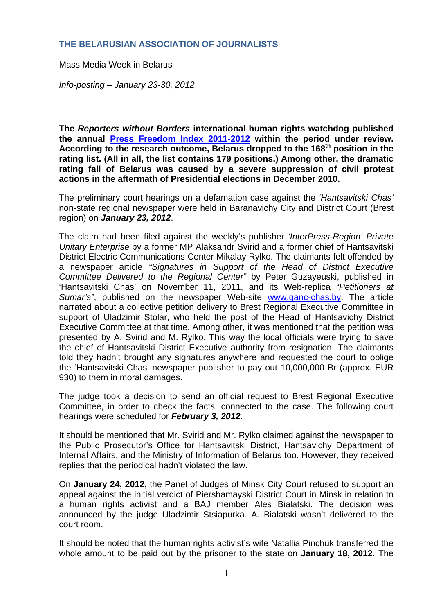## **THE BELARUSIAN ASSOCIATION OF JOURNALISTS**

Mass Media Week in Belarus

*Info-posting – January 23-30, 2012* 

**The** *Reporters without Borders* **international human rights watchdog published the annual Press Freedom Index 2011-2012 within the period under review. According to the research outcome, Belarus dropped to the 168th position in the rating list. (All in all, the list contains 179 positions.) Among other, the dramatic rating fall of Belarus was caused by a severe suppression of civil protest actions in the aftermath of Presidential elections in December 2010.** 

The preliminary court hearings on a defamation case against the *'Hantsavitski Chas'* non-state regional newspaper were held in Baranavichy City and District Court (Brest region) on *January 23, 2012*.

The claim had been filed against the weekly's publisher *'InterPress-Region' Private Unitary Enterprise* by a former MP Alaksandr Svirid and a former chief of Hantsavitski District Electric Communications Center Mikalay Rylko. The claimants felt offended by a newspaper article *"Signatures in Support of the Head of District Executive Committee Delivered to the Regional Center"* by Peter Guzayeuski, published in 'Hantsavitski Chas' on November 11, 2011, and its Web-replica *"Petitioners at Sumar's"*, published on the newspaper Web-site www.ganc-chas.by. The article narrated about a collective petition delivery to Brest Regional Executive Committee in support of Uladzimir Stolar, who held the post of the Head of Hantsavichy District Executive Committee at that time. Among other, it was mentioned that the petition was presented by A. Svirid and M. Rylko. This way the local officials were trying to save the chief of Hantsavitski District Executive authority from resignation. The claimants told they hadn't brought any signatures anywhere and requested the court to oblige the 'Hantsavitski Chas' newspaper publisher to pay out 10,000,000 Br (approx. EUR 930) to them in moral damages.

The judge took a decision to send an official request to Brest Regional Executive Committee, in order to check the facts, connected to the case. The following court hearings were scheduled for *February 3, 2012.*

It should be mentioned that Mr. Svirid and Mr. Rylko claimed against the newspaper to the Public Prosecutor's Office for Hantsavitski District, Hantsavichy Department of Internal Affairs, and the Ministry of Information of Belarus too. However, they received replies that the periodical hadn't violated the law.

On **January 24, 2012,** the Panel of Judges of Minsk City Court refused to support an appeal against the initial verdict of Piershamayski District Court in Minsk in relation to a human rights activist and a BAJ member Ales Bialatski. The decision was announced by the judge Uladzimir Stsiapurka. A. Bialatski wasn't delivered to the court room.

It should be noted that the human rights activist's wife Natallia Pinchuk transferred the whole amount to be paid out by the prisoner to the state on **January 18, 2012**. The